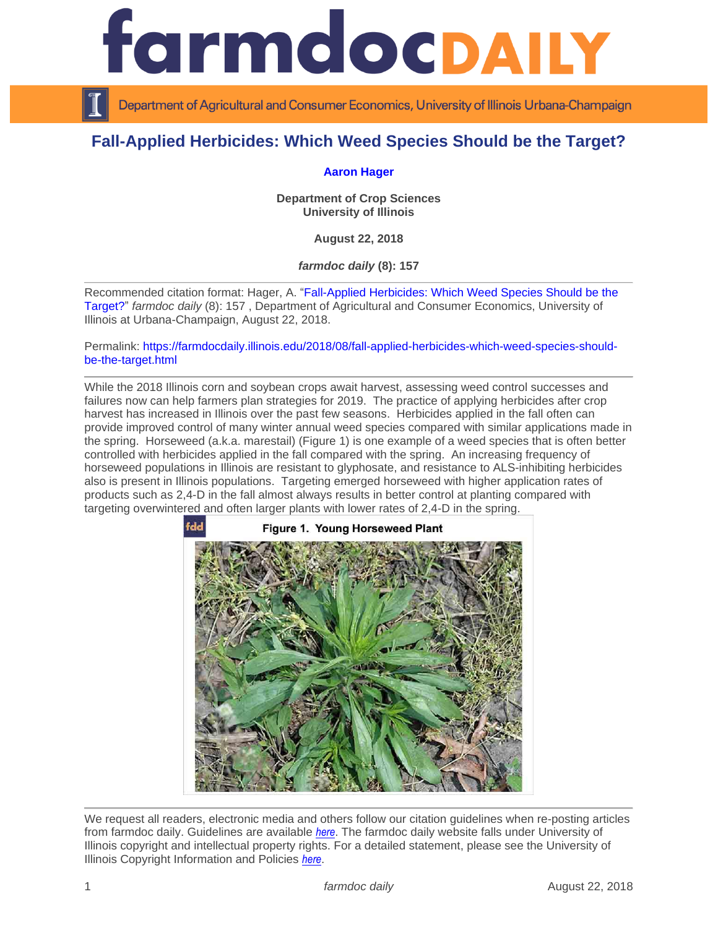

Department of Agricultural and Consumer Economics, University of Illinois Urbana-Champaign

## **Fall-Applied Herbicides: Which Weed Species Should be the Target?**

## **[Aaron Hager](https://cropsciences.illinois.edu/people/profile/hager)**

**Department of Crop Sciences University of Illinois**

**August 22, 2018**

*farmdoc daily* **(8): 157**

Recommended citation format: Hager, A. ["Fall-Applied Herbicides: Which Weed Species Should be](https://farmdocdaily.illinois.edu/2018/08/fall-applied-herbicides-which-weed-species-should-be-the-target.html) the [Target?"](https://farmdocdaily.illinois.edu/2018/08/fall-applied-herbicides-which-weed-species-should-be-the-target.html) *farmdoc daily* (8): 157 , Department of Agricultural and Consumer Economics, University of Illinois at Urbana-Champaign, August 22, 2018.

Permalink: [https://farmdocdaily.illinois.edu/2018/08/fall-applied-herbicides-which-weed-species-should](https://farmdocdaily.illinois.edu/2018/08/fall-applied-herbicides-which-weed-species-should-be-the-target.html)[be-the-target.html](https://farmdocdaily.illinois.edu/2018/08/fall-applied-herbicides-which-weed-species-should-be-the-target.html)

While the 2018 Illinois corn and soybean crops await harvest, assessing weed control successes and failures now can help farmers plan strategies for 2019. The practice of applying herbicides after crop harvest has increased in Illinois over the past few seasons. Herbicides applied in the fall often can provide improved control of many winter annual weed species compared with similar applications made in the spring. Horseweed (a.k.a. marestail) (Figure 1) is one example of a weed species that is often better controlled with herbicides applied in the fall compared with the spring. An increasing frequency of horseweed populations in Illinois are resistant to glyphosate, and resistance to ALS-inhibiting herbicides also is present in Illinois populations. Targeting emerged horseweed with higher application rates of products such as 2,4-D in the fall almost always results in better control at planting compared with targeting overwintered and often larger plants with lower rates of 2,4-D in the spring.



We request all readers, electronic media and others follow our citation guidelines when re-posting articles from farmdoc daily. Guidelines are available *[here](http://farmdocdaily.illinois.edu/citationguide.html)*. The farmdoc daily website falls under University of Illinois copyright and intellectual property rights. For a detailed statement, please see the University of Illinois Copyright Information and Policies *[here](http://www.cio.illinois.edu/policies/copyright/)*.